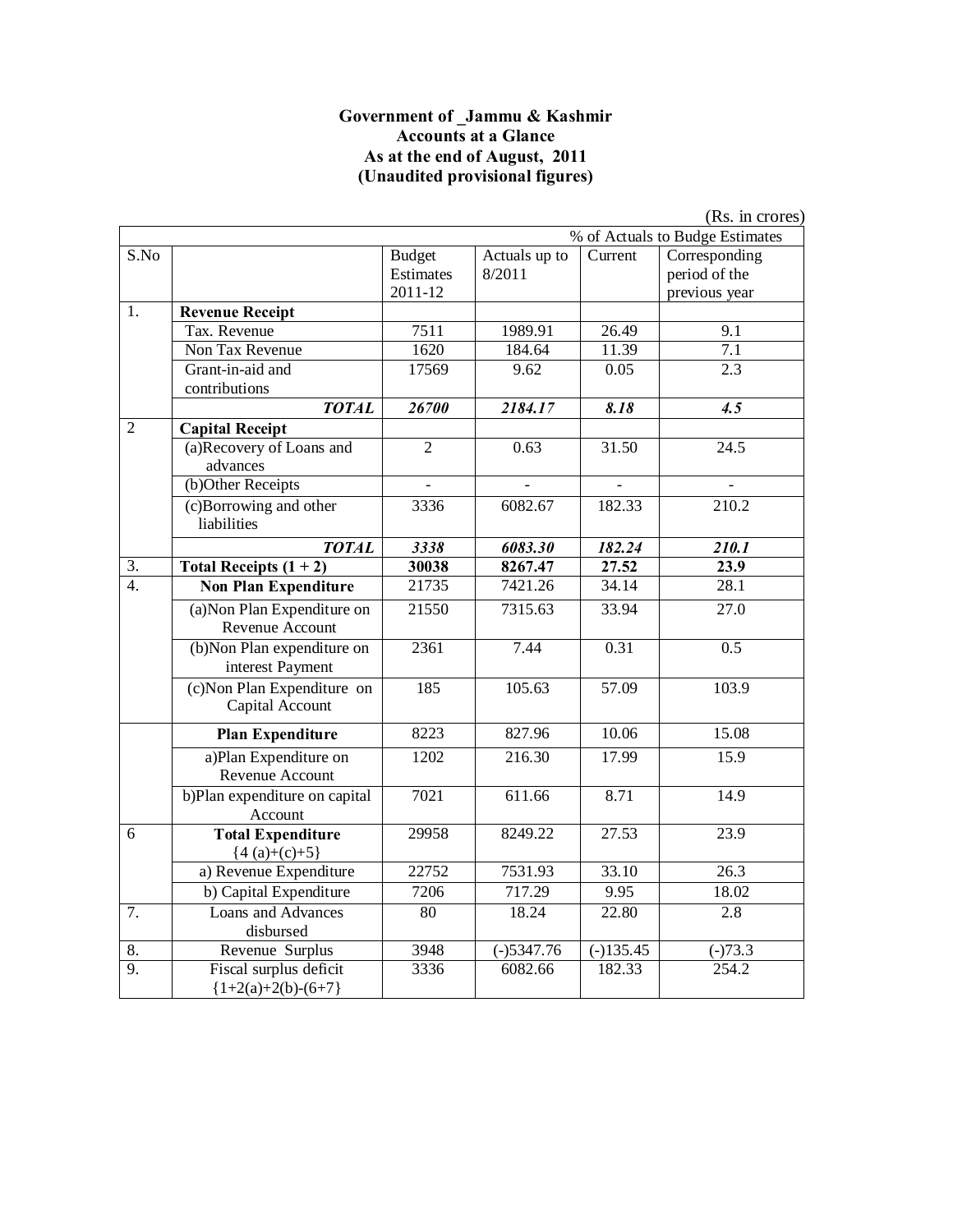#### **Government of \_Jammu & Kashmir Accounts at a Glance As at the end of August, 2011 (Unaudited provisional figures)**

|                  |                                                 |                                       |                          |                        | (Rs. in crores)                                 |
|------------------|-------------------------------------------------|---------------------------------------|--------------------------|------------------------|-------------------------------------------------|
|                  |                                                 |                                       |                          |                        | % of Actuals to Budge Estimates                 |
| S.No             |                                                 | <b>Budget</b><br>Estimates<br>2011-12 | Actuals up to<br>8/2011  | Current                | Corresponding<br>period of the<br>previous year |
| 1.               | <b>Revenue Receipt</b>                          |                                       |                          |                        |                                                 |
|                  | Tax. Revenue                                    | 7511                                  | 1989.91                  | 26.49                  | 9.1                                             |
|                  | Non Tax Revenue                                 | 1620                                  | 184.64                   | 11.39                  | $\overline{7.1}$                                |
|                  | Grant-in-aid and<br>contributions               | 17569                                 | 9.62                     | 0.05                   | $\overline{2.3}$                                |
|                  | <b>TOTAL</b>                                    | 26700                                 | 2184.17                  | 8.18                   | 4.5                                             |
| $\overline{2}$   | <b>Capital Receipt</b>                          |                                       |                          |                        |                                                 |
|                  | (a)Recovery of Loans and<br>advances            | $\overline{2}$                        | 0.63                     | 31.50                  | 24.5                                            |
|                  | (b)Other Receipts                               | $\overline{a}$                        |                          | $\overline{a}$         | $\frac{1}{2}$                                   |
|                  | (c)Borrowing and other<br>liabilities           | 3336                                  | 6082.67                  | 182.33                 | 210.2                                           |
|                  | <b>TOTAL</b>                                    | 3338                                  | 6083.30                  | 182.24                 | 210.1                                           |
| 3.               | Total Receipts $(1 + 2)$                        | 30038                                 | 8267.47                  | 27.52                  | 23.9                                            |
| $\overline{4}$ . | <b>Non Plan Expenditure</b>                     | 21735                                 | 7421.26                  | 34.14                  | 28.1                                            |
|                  | (a) Non Plan Expenditure on<br>Revenue Account  | 21550                                 | 7315.63                  | 33.94                  | 27.0                                            |
|                  | (b)Non Plan expenditure on<br>interest Payment  | 2361                                  | 7.44                     | 0.31                   | $\overline{0.5}$                                |
|                  | (c) Non Plan Expenditure on<br>Capital Account  | 185                                   | 105.63                   | 57.09                  | 103.9                                           |
|                  | <b>Plan Expenditure</b>                         | 8223                                  | 827.96                   | 10.06                  | 15.08                                           |
|                  | a)Plan Expenditure on<br>Revenue Account        | 1202                                  | 216.30                   | 17.99                  | 15.9                                            |
|                  | b)Plan expenditure on capital<br>Account        | 7021                                  | 611.66                   | 8.71                   | 14.9                                            |
| 6                | <b>Total Expenditure</b><br>${4(a)+(c)+5}$      | 29958                                 | 8249.22                  | 27.53                  | 23.9                                            |
|                  | a) Revenue Expenditure                          | 22752                                 | 7531.93                  | 33.10                  | $\overline{26.3}$                               |
|                  | b) Capital Expenditure                          | 7206                                  | 717.29                   | 9.95                   | 18.02                                           |
| 7.               | Loans and Advances<br>disbursed                 | 80                                    | 18.24                    | 22.80                  | 2.8                                             |
| 8.               | Revenue Surplus                                 | 3948                                  | $\overline{(-)}$ 5347.76 | $\overline{(-)135.45}$ | $(-)73.3$                                       |
| $\overline{9}$ . | Fiscal surplus deficit<br>${1+2(a)+2(b)-(6+7)}$ | 3336                                  | 6082.66                  | 182.33                 | 254.2                                           |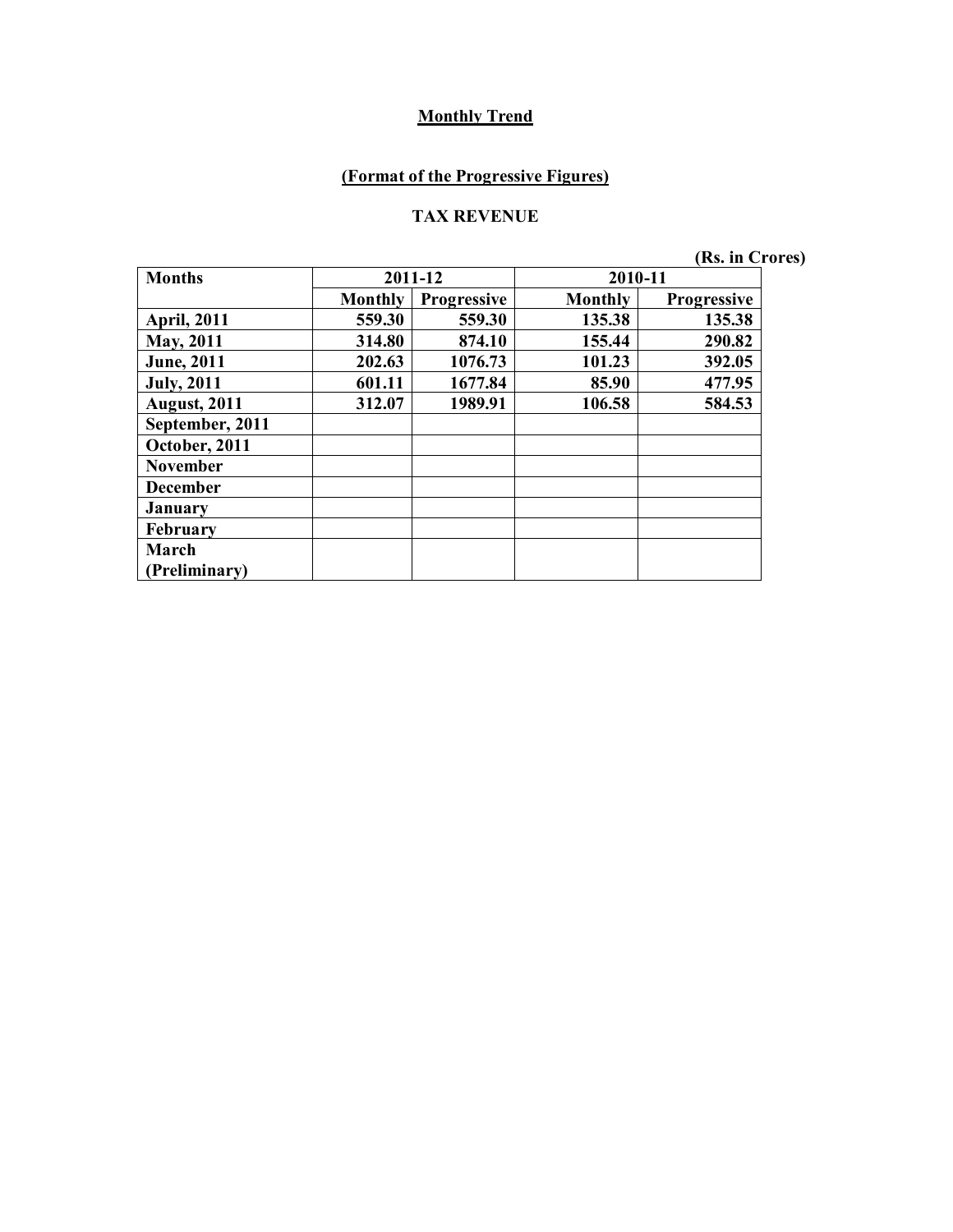# **(Format of the Progressive Figures)**

#### **TAX REVENUE**

**(Rs. in Crores)**

| <b>Months</b>       |                | 2011-12            | 2010-11        |                    |
|---------------------|----------------|--------------------|----------------|--------------------|
|                     | <b>Monthly</b> | <b>Progressive</b> | <b>Monthly</b> | <b>Progressive</b> |
| <b>April, 2011</b>  | 559.30         | 559.30             | 135.38         | 135.38             |
| <b>May, 2011</b>    | 314.80         | 874.10             | 155.44         | 290.82             |
| <b>June</b> , 2011  | 202.63         | 1076.73            | 101.23         | 392.05             |
| <b>July, 2011</b>   | 601.11         | 1677.84            | 85.90          | 477.95             |
| <b>August, 2011</b> | 312.07         | 1989.91            | 106.58         | 584.53             |
| September, 2011     |                |                    |                |                    |
| October, 2011       |                |                    |                |                    |
| <b>November</b>     |                |                    |                |                    |
| <b>December</b>     |                |                    |                |                    |
| <b>January</b>      |                |                    |                |                    |
| February            |                |                    |                |                    |
| March               |                |                    |                |                    |
| Preliminary)        |                |                    |                |                    |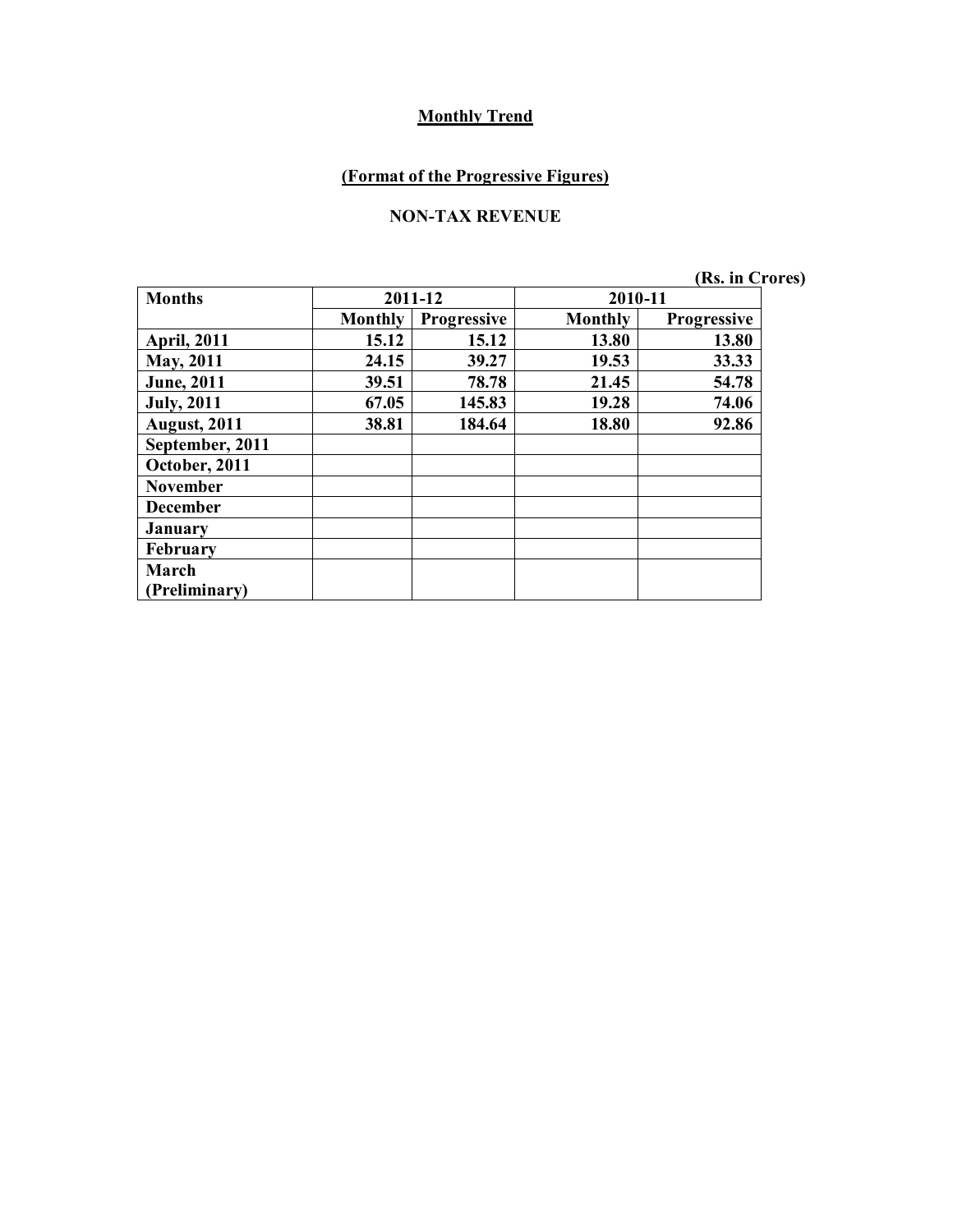# **(Format of the Progressive Figures)**

#### **NON-TAX REVENUE**

**(Rs. in Crores)**

| <b>Months</b>        |                | 2011-12     | 2010-11        |                    |
|----------------------|----------------|-------------|----------------|--------------------|
|                      | <b>Monthly</b> | Progressive | <b>Monthly</b> | <b>Progressive</b> |
| <b>April, 2011</b>   | 15.12          | 15.12       | 13.80          | 13.80              |
| <b>May, 2011</b>     | 24.15          | 39.27       | 19.53          | 33.33              |
| <b>June</b> , 2011   | 39.51          | 78.78       | 21.45          | 54.78              |
| <b>July</b> , 2011   | 67.05          | 145.83      | 19.28          | 74.06              |
| <b>August, 2011</b>  | 38.81          | 184.64      | 18.80          | 92.86              |
| September, 2011      |                |             |                |                    |
| October, 2011        |                |             |                |                    |
| <b>November</b>      |                |             |                |                    |
| <b>December</b>      |                |             |                |                    |
| January              |                |             |                |                    |
| February             |                |             |                |                    |
| March                |                |             |                |                    |
| <b>Preliminary</b> ) |                |             |                |                    |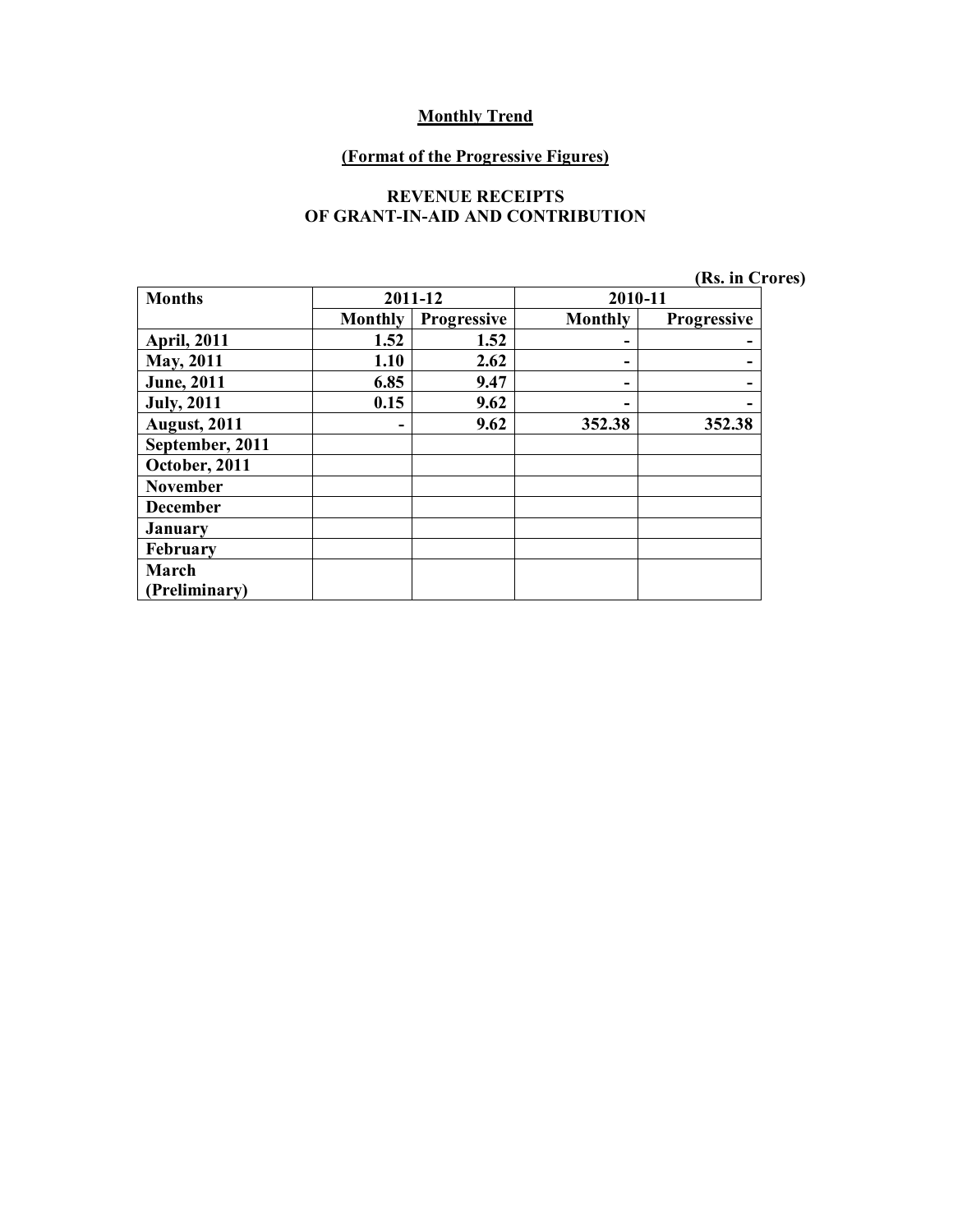#### **(Format of the Progressive Figures)**

#### **REVENUE RECEIPTS OF GRANT-IN-AID AND CONTRIBUTION**

|  |  | (Rs. in Crores) |  |
|--|--|-----------------|--|
|--|--|-----------------|--|

| <b>Months</b>       |                | 2011-12            | 2010-11        |             |
|---------------------|----------------|--------------------|----------------|-------------|
|                     | <b>Monthly</b> | <b>Progressive</b> | <b>Monthly</b> | Progressive |
| <b>April, 2011</b>  | 1.52           | 1.52               | -              |             |
| <b>May, 2011</b>    | 1.10           | 2.62               | -              |             |
| <b>June</b> , 2011  | 6.85           | 9.47               | -              |             |
| <b>July, 2011</b>   | 0.15           | 9.62               | -              |             |
| <b>August, 2011</b> |                | 9.62               | 352.38         | 352.38      |
| September, 2011     |                |                    |                |             |
| October, 2011       |                |                    |                |             |
| <b>November</b>     |                |                    |                |             |
| <b>December</b>     |                |                    |                |             |
| <b>January</b>      |                |                    |                |             |
| February            |                |                    |                |             |
| March               |                |                    |                |             |
| (Preliminary)       |                |                    |                |             |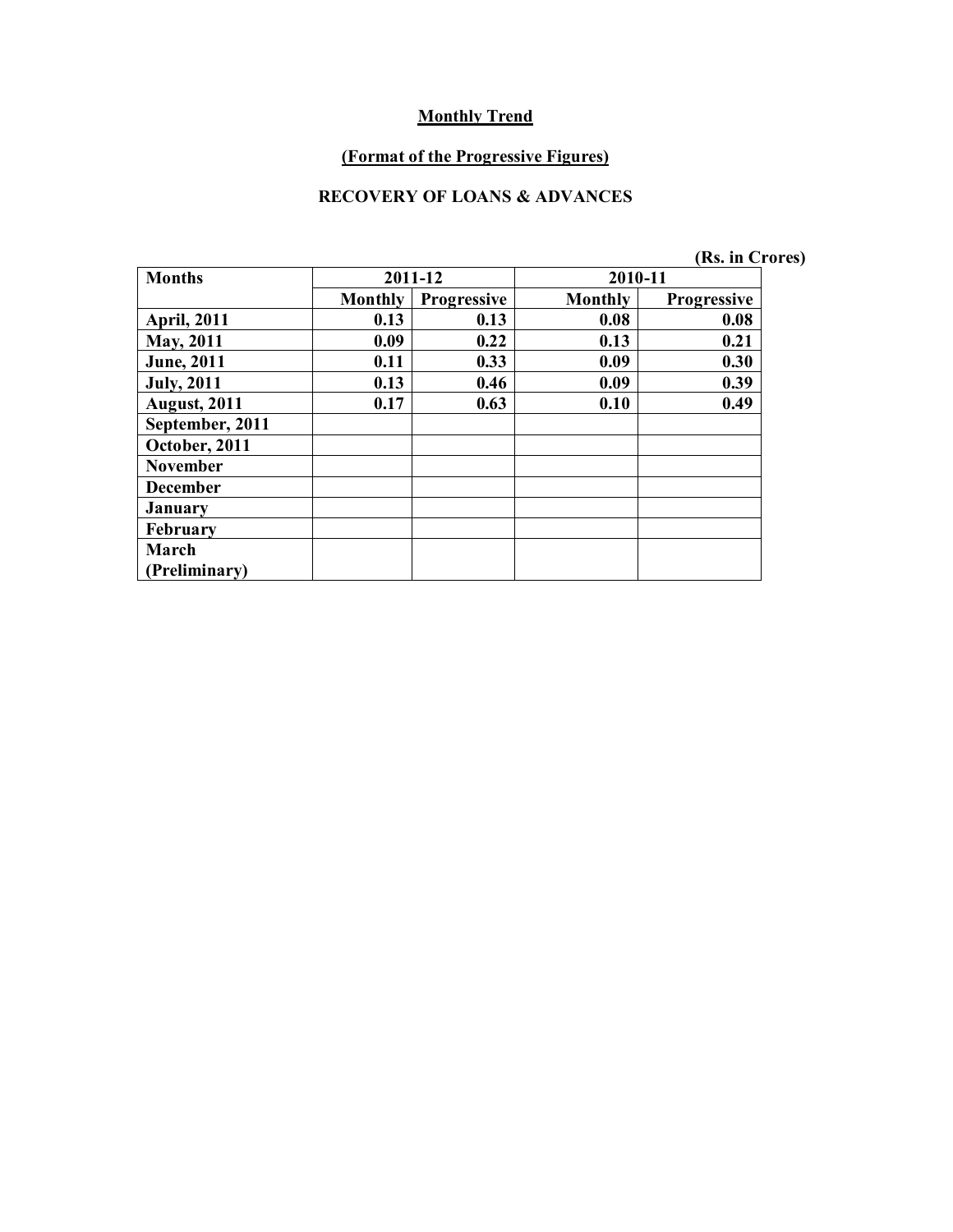#### **(Format of the Progressive Figures)**

#### **RECOVERY OF LOANS & ADVANCES**

**April, 2011 0.13 0.13 0.08 0.08 May, 2011 0.09 0.22 0.13 0.21 June, 2011 0.11 0.33 0.09 0.30 July, 2011 0.13 0.46 0.09 0.39 August, 2011 0.17 0.63 0.10 0.49**

**October, 2011 November December January February March** 

**(Preliminary)**

|                      |                |                    |         | INS. III UTOTES    |  |
|----------------------|----------------|--------------------|---------|--------------------|--|
| Months               |                | 2011-12            | 2010-11 |                    |  |
|                      | <b>Monthly</b> | <b>Progressive</b> | Monthly | <b>Progressive</b> |  |
| <b>April, 2011</b>   | 0.13           | 0.13               | 0.08    | 0.08               |  |
| <b>May, 2011</b>     | 0.09           | 0.22               | 0.13    | 0.21               |  |
| <b>June, 2011</b>    | 0.11           | 0.33               | 0.09    | 0.30               |  |
| <b>July, 2011</b>    | 0.13           | 0.46               | 0.09    | 0.39               |  |
| <b>August, 2011</b>  | 0.17           | 0.63               | 0.10    | 0.49               |  |
| September, 2011      |                |                    |         |                    |  |
| <b>October, 2011</b> |                |                    |         |                    |  |
| November             |                |                    |         |                    |  |

**(Rs. in Crores)**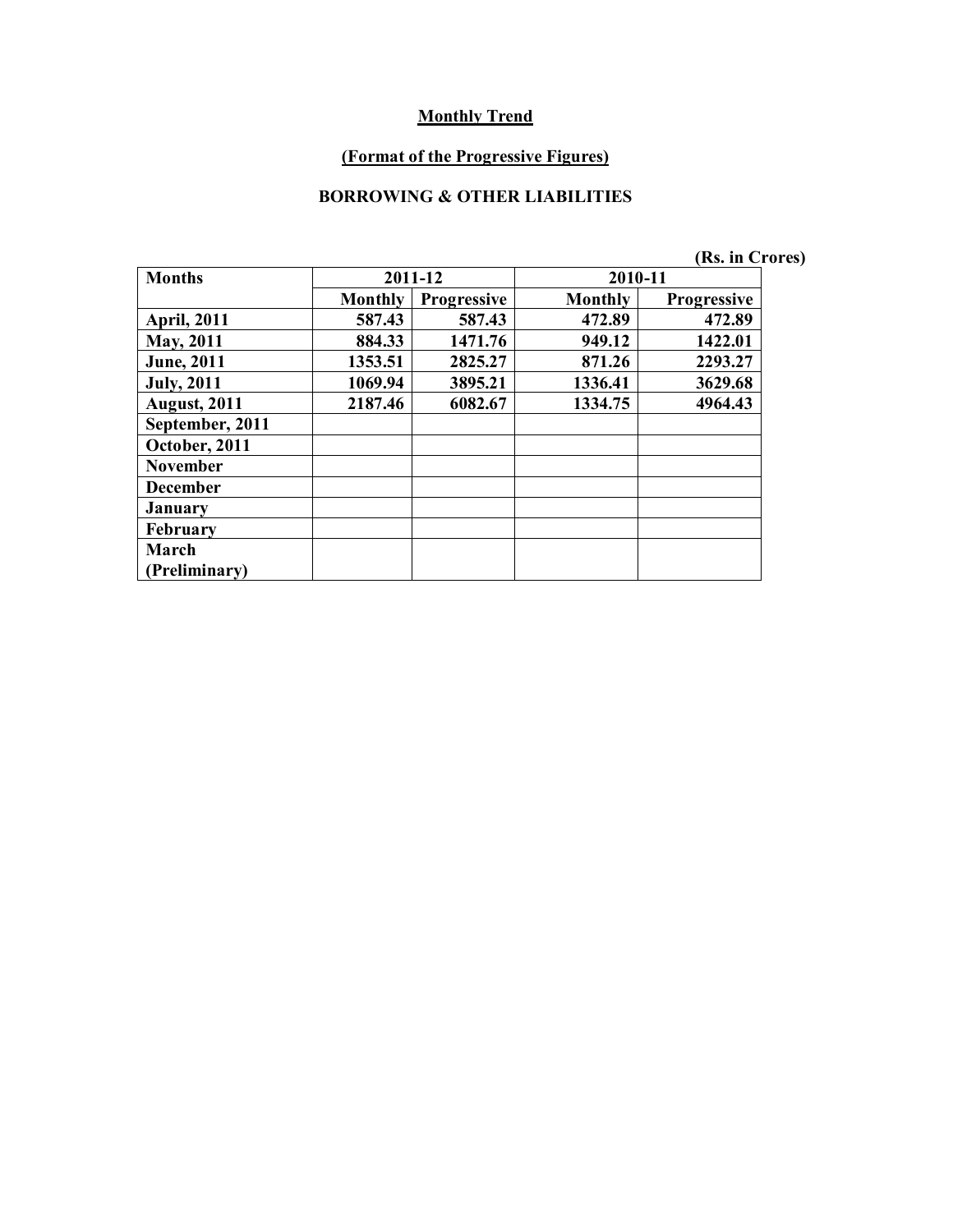#### **(Format of the Progressive Figures)**

#### **BORROWING & OTHER LIABILITIES**

|                     |                |                    |                | (Rs. in Crores)    |  |
|---------------------|----------------|--------------------|----------------|--------------------|--|
| <b>Months</b>       |                | 2011-12            | 2010-11        |                    |  |
|                     | <b>Monthly</b> | <b>Progressive</b> | <b>Monthly</b> | <b>Progressive</b> |  |
| <b>April, 2011</b>  | 587.43         | 587.43             | 472.89         | 472.89             |  |
| <b>May</b> , 2011   | 884.33         | 1471.76            | 949.12         | 1422.01            |  |
| <b>June</b> , 2011  | 1353.51        | 2825.27            | 871.26         | 2293.27            |  |
| <b>July</b> , 2011  | 1069.94        | 3895.21            | 1336.41        | 3629.68            |  |
| <b>August, 2011</b> | 2187.46        | 6082.67            | 1334.75        | 4964.43            |  |
| September, 2011     |                |                    |                |                    |  |
| October, 2011       |                |                    |                |                    |  |
| <b>November</b>     |                |                    |                |                    |  |
| <b>December</b>     |                |                    |                |                    |  |
| <b>January</b>      |                |                    |                |                    |  |
| <b>February</b>     |                |                    |                |                    |  |
| March               |                |                    |                |                    |  |
| (Preliminary)       |                |                    |                |                    |  |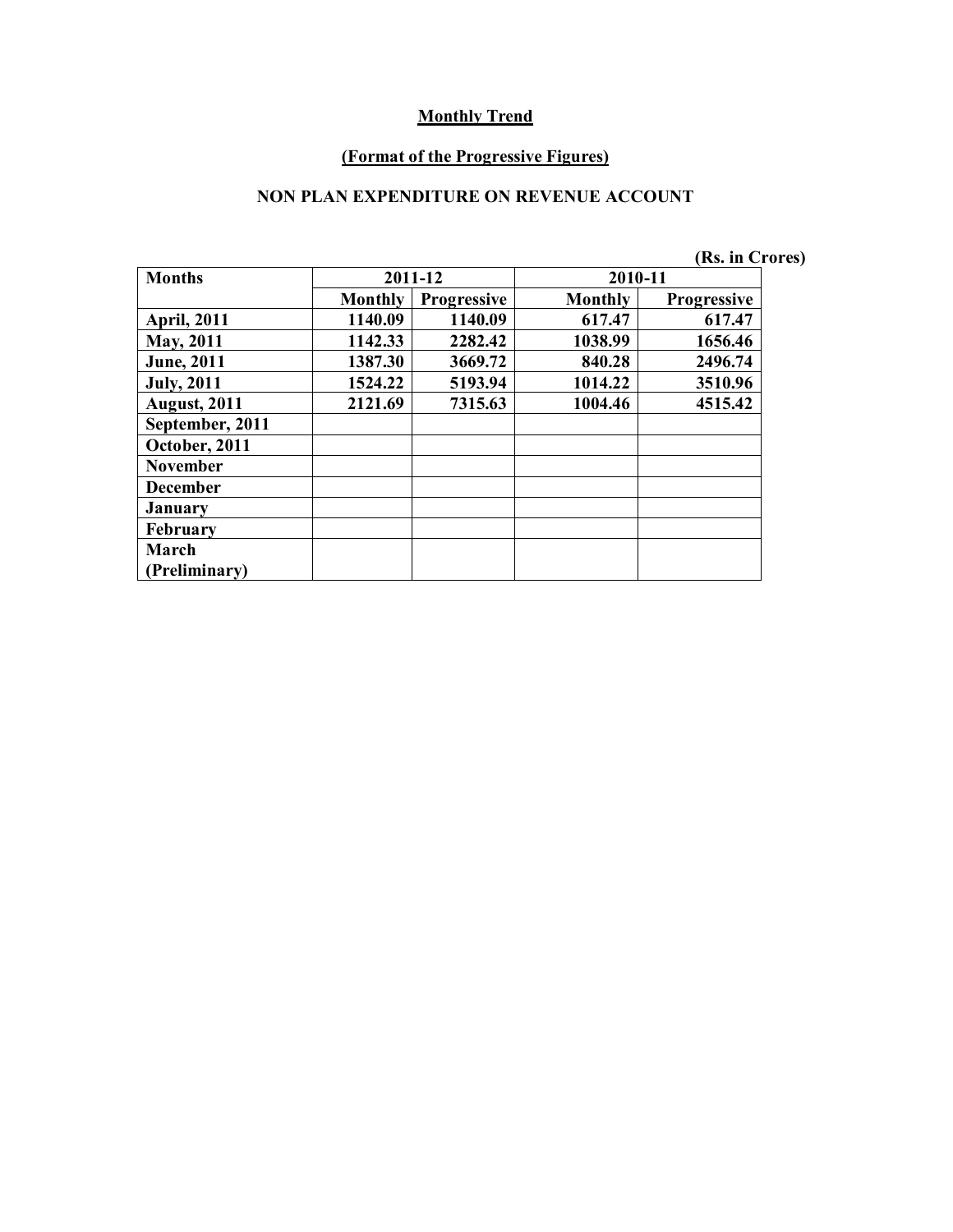#### **(Format of the Progressive Figures)**

#### **NON PLAN EXPENDITURE ON REVENUE ACCOUNT**

|                     |                |                    |                | (Rs. in Crores)    |
|---------------------|----------------|--------------------|----------------|--------------------|
| <b>Months</b>       |                | 2011-12            | 2010-11        |                    |
|                     | <b>Monthly</b> | <b>Progressive</b> | <b>Monthly</b> | <b>Progressive</b> |
| <b>April, 2011</b>  | 1140.09        | 1140.09            | 617.47         | 617.47             |
| May, 2011           | 1142.33        | 2282.42            | 1038.99        | 1656.46            |
| <b>June</b> , 2011  | 1387.30        | 3669.72            | 840.28         | 2496.74            |
| <b>July, 2011</b>   | 1524.22        | 5193.94            | 1014.22        | 3510.96            |
| <b>August, 2011</b> | 2121.69        | 7315.63            | 1004.46        | 4515.42            |
| September, 2011     |                |                    |                |                    |
| October, 2011       |                |                    |                |                    |
| <b>November</b>     |                |                    |                |                    |
| <b>December</b>     |                |                    |                |                    |
| <b>January</b>      |                |                    |                |                    |
| <b>February</b>     |                |                    |                |                    |
| March               |                |                    |                |                    |
| (Preliminary)       |                |                    |                |                    |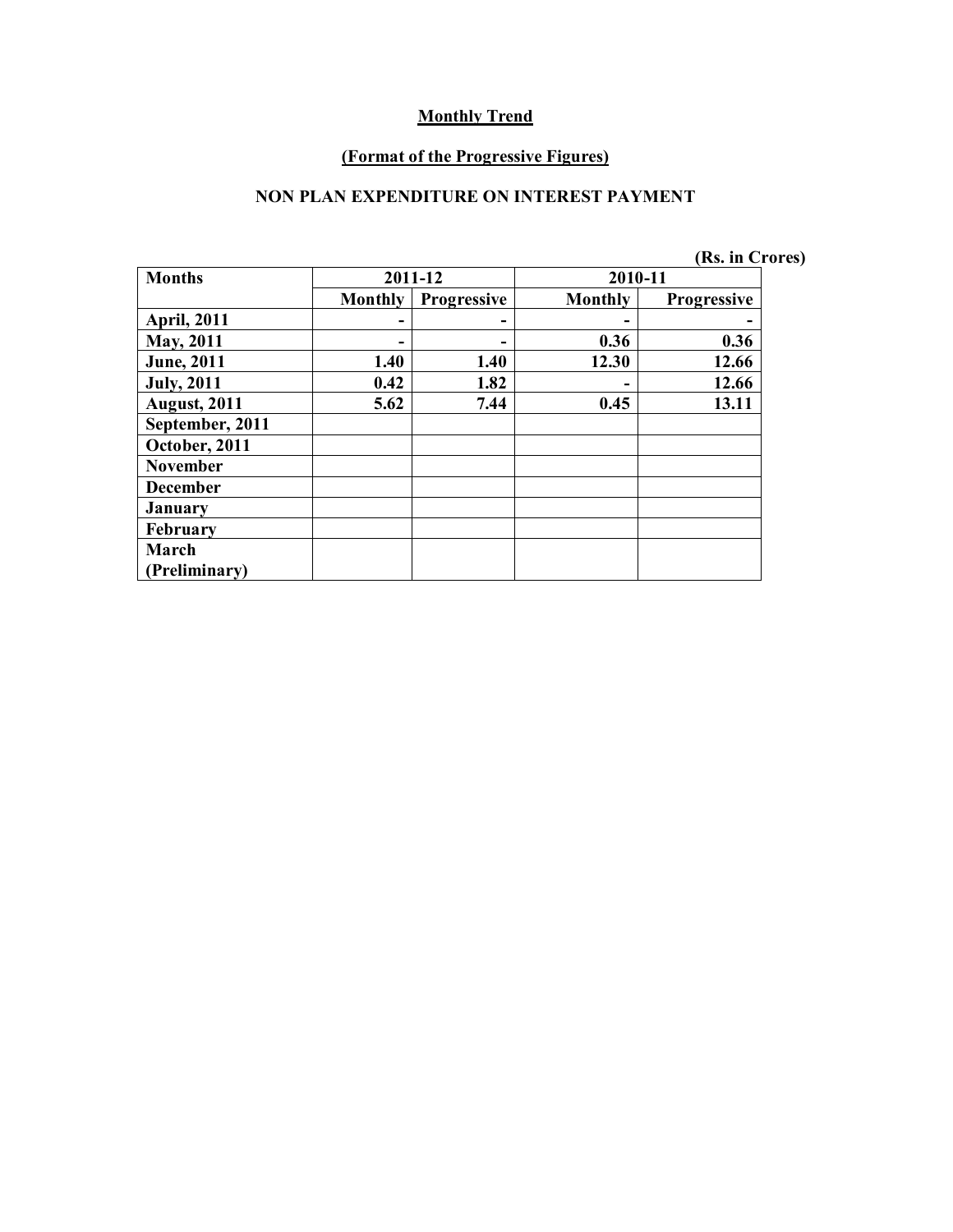#### **(Format of the Progressive Figures)**

#### **NON PLAN EXPENDITURE ON INTEREST PAYMENT**

|  | (Rs. in Crores) |
|--|-----------------|
|--|-----------------|

| <b>Months</b>       |                | 2011-12            | 2010-11 |                    |  |
|---------------------|----------------|--------------------|---------|--------------------|--|
|                     | <b>Monthly</b> | <b>Progressive</b> | Monthly | <b>Progressive</b> |  |
| <b>April, 2011</b>  |                |                    | -       |                    |  |
| May, 2011           |                |                    | 0.36    | 0.36               |  |
| <b>June</b> , 2011  | 1.40           | 1.40               | 12.30   | 12.66              |  |
| <b>July, 2011</b>   | 0.42           | 1.82               |         | 12.66              |  |
| <b>August, 2011</b> | 5.62           | 7.44               | 0.45    | 13.11              |  |
| September, 2011     |                |                    |         |                    |  |
| October, 2011       |                |                    |         |                    |  |
| <b>November</b>     |                |                    |         |                    |  |
| <b>December</b>     |                |                    |         |                    |  |
| <b>January</b>      |                |                    |         |                    |  |
| February            |                |                    |         |                    |  |
| March               |                |                    |         |                    |  |
| Preliminary)        |                |                    |         |                    |  |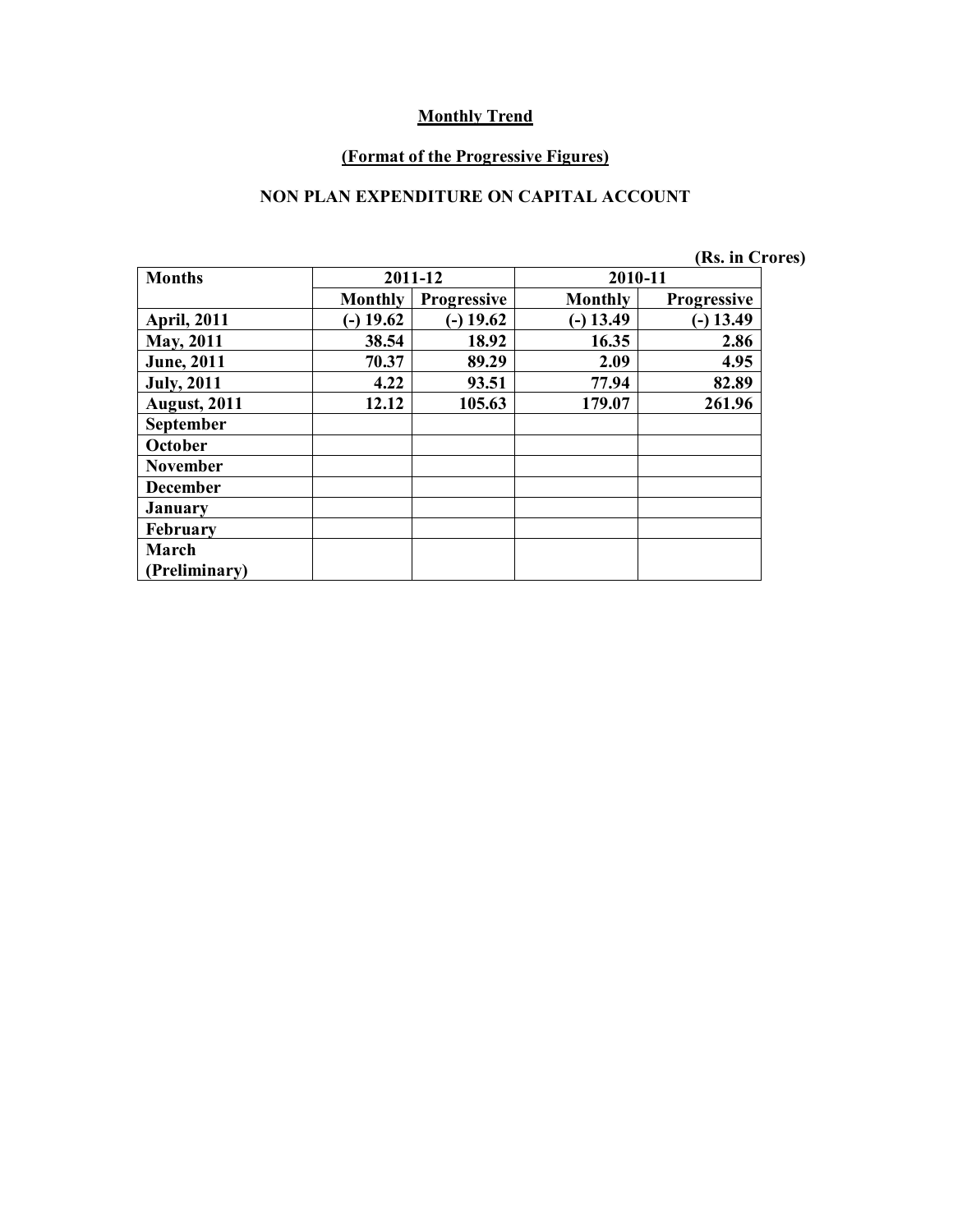#### **(Format of the Progressive Figures)**

# **NON PLAN EXPENDITURE ON CAPITAL ACCOUNT**

|                     |                |                    |                | (Rs. in Crores)    |
|---------------------|----------------|--------------------|----------------|--------------------|
| <b>Months</b>       |                | 2011-12            | 2010-11        |                    |
|                     | <b>Monthly</b> | <b>Progressive</b> | <b>Monthly</b> | <b>Progressive</b> |
| <b>April, 2011</b>  | $-$ ) 19.62    | $(-)$ 19.62        | $-$ ) 13.49    | $(-)$ 13.49        |
| <b>May, 2011</b>    | 38.54          | 18.92              | 16.35          | 2.86               |
| <b>June</b> , 2011  | 70.37          | 89.29              | 2.09           | 4.95               |
| <b>July, 2011</b>   | 4.22           | 93.51              | 77.94          | 82.89              |
| <b>August, 2011</b> | 12.12          | 105.63             | 179.07         | 261.96             |
| <b>September</b>    |                |                    |                |                    |
| October             |                |                    |                |                    |
| <b>November</b>     |                |                    |                |                    |
| <b>December</b>     |                |                    |                |                    |
| <b>January</b>      |                |                    |                |                    |
| <b>February</b>     |                |                    |                |                    |
| March               |                |                    |                |                    |
| (Preliminary)       |                |                    |                |                    |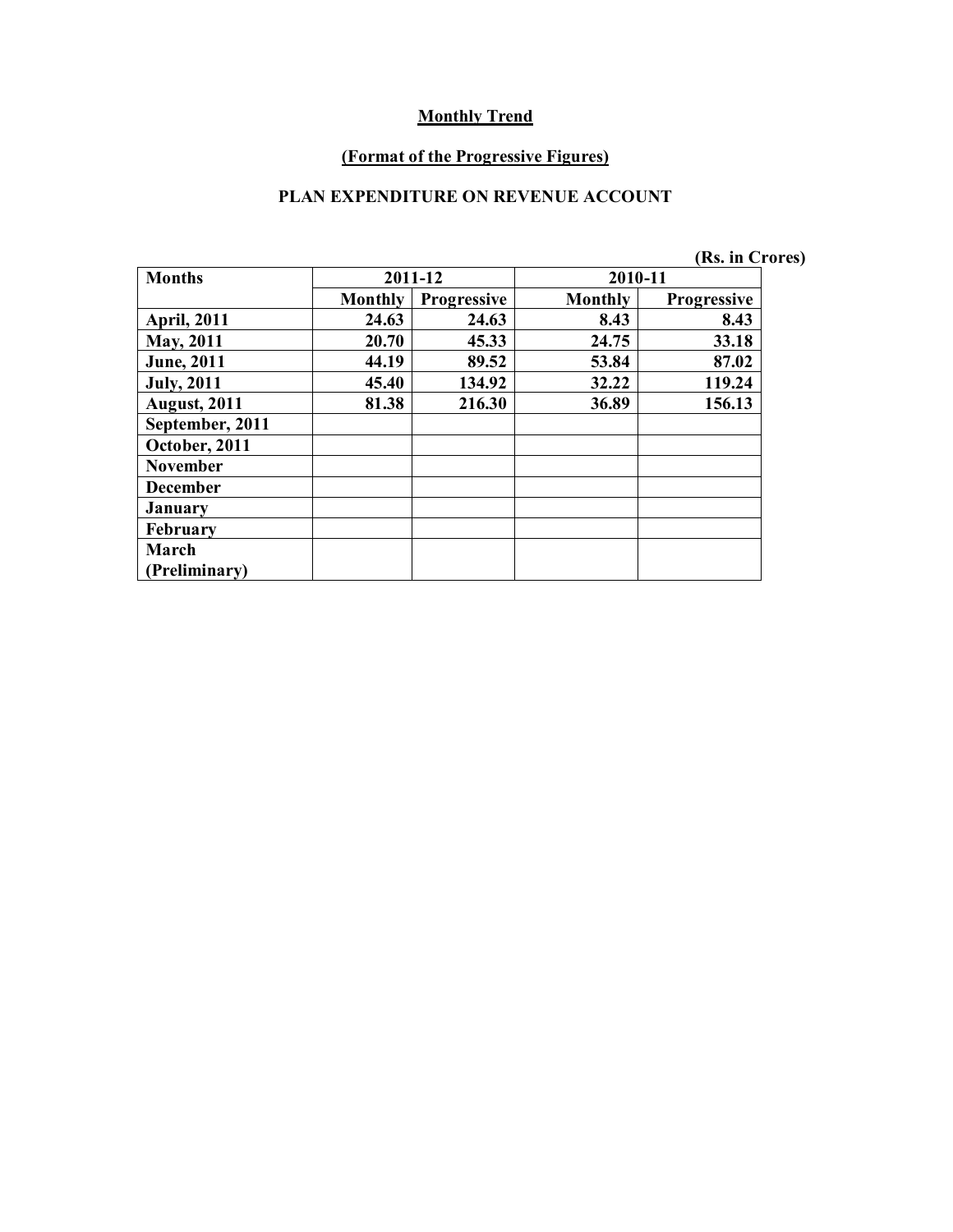#### **(Format of the Progressive Figures)**

#### **PLAN EXPENDITURE ON REVENUE ACCOUNT**

|                     |                |                    |         | (Rs. in Crores)    |  |
|---------------------|----------------|--------------------|---------|--------------------|--|
| <b>Months</b>       |                | 2011-12            | 2010-11 |                    |  |
|                     | <b>Monthly</b> | <b>Progressive</b> | Monthly | <b>Progressive</b> |  |
| <b>April, 2011</b>  | 24.63          | 24.63              | 8.43    | 8.43               |  |
| May, 2011           | 20.70          | 45.33              | 24.75   | 33.18              |  |
| <b>June</b> , 2011  | 44.19          | 89.52              | 53.84   | 87.02              |  |
| <b>July, 2011</b>   | 45.40          | 134.92             | 32.22   | 119.24             |  |
| <b>August, 2011</b> | 81.38          | 216.30             | 36.89   | 156.13             |  |
| September, 2011     |                |                    |         |                    |  |
| October, 2011       |                |                    |         |                    |  |
| <b>November</b>     |                |                    |         |                    |  |
| <b>December</b>     |                |                    |         |                    |  |
| January             |                |                    |         |                    |  |
| <b>February</b>     |                |                    |         |                    |  |
| March               |                |                    |         |                    |  |
| (Preliminary)       |                |                    |         |                    |  |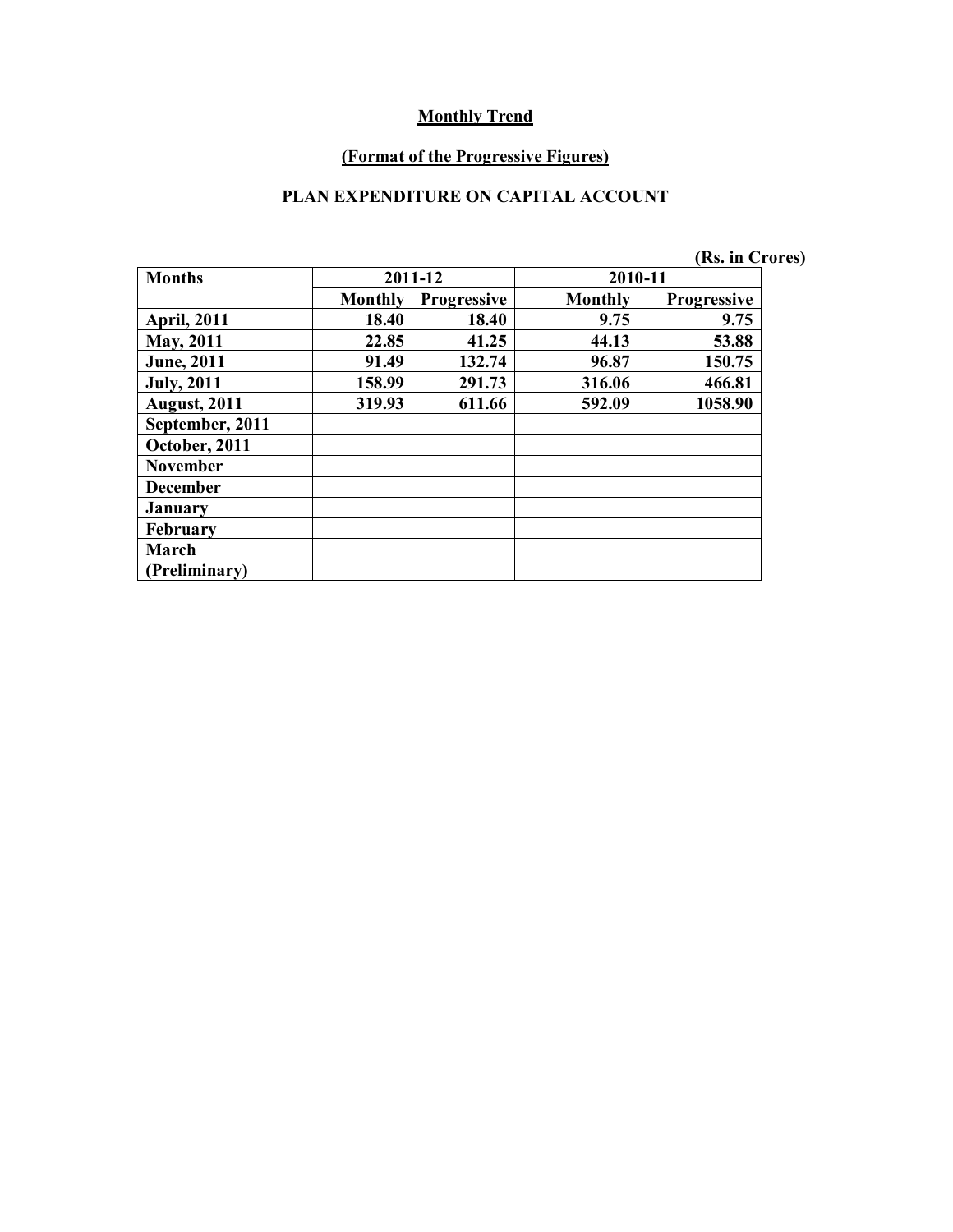#### **(Format of the Progressive Figures)**

# **PLAN EXPENDITURE ON CAPITAL ACCOUNT**

|                     |                |                    |         | (Rs. in Crores)    |
|---------------------|----------------|--------------------|---------|--------------------|
| <b>Months</b>       |                | 2011-12            | 2010-11 |                    |
|                     | <b>Monthly</b> | <b>Progressive</b> | Monthly | <b>Progressive</b> |
| <b>April, 2011</b>  | 18.40          | 18.40              | 9.75    | 9.75               |
| <b>May, 2011</b>    | 22.85          | 41.25              | 44.13   | 53.88              |
| <b>June</b> , 2011  | 91.49          | 132.74             | 96.87   | 150.75             |
| <b>July, 2011</b>   | 158.99         | 291.73             | 316.06  | 466.81             |
| <b>August, 2011</b> | 319.93         | 611.66             | 592.09  | 1058.90            |
| September, 2011     |                |                    |         |                    |
| October, 2011       |                |                    |         |                    |
| <b>November</b>     |                |                    |         |                    |
| <b>December</b>     |                |                    |         |                    |
| <b>January</b>      |                |                    |         |                    |
| February            |                |                    |         |                    |
| March               |                |                    |         |                    |
| (Preliminary)       |                |                    |         |                    |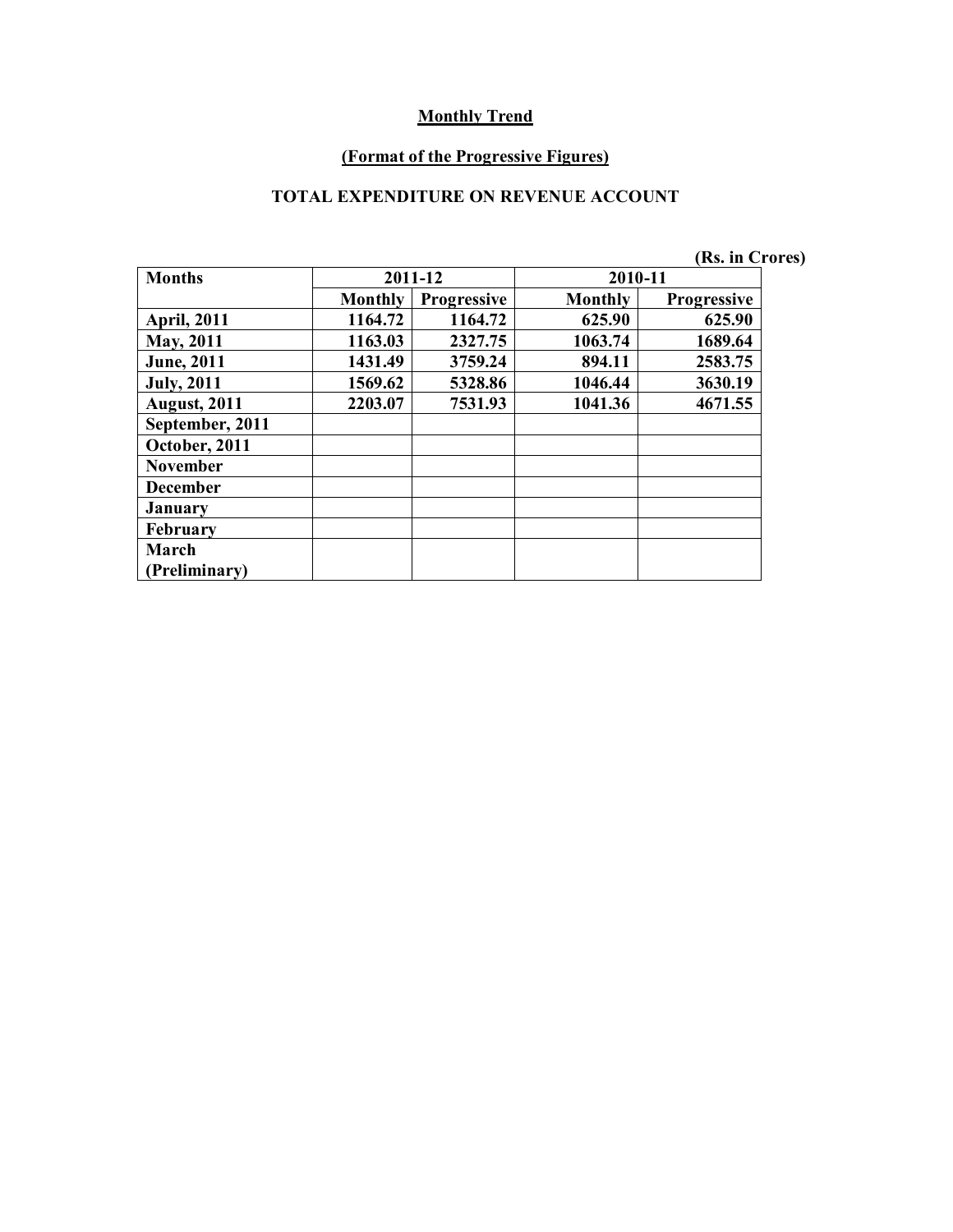#### **(Format of the Progressive Figures)**

#### **TOTAL EXPENDITURE ON REVENUE ACCOUNT**

|                     |                |                    |         | (Rs. in Crores)    |
|---------------------|----------------|--------------------|---------|--------------------|
| <b>Months</b>       |                | 2011-12            | 2010-11 |                    |
|                     | <b>Monthly</b> | <b>Progressive</b> | Monthly | <b>Progressive</b> |
| <b>April, 2011</b>  | 1164.72        | 1164.72            | 625.90  | 625.90             |
| <b>May, 2011</b>    | 1163.03        | 2327.75            | 1063.74 | 1689.64            |
| <b>June</b> , 2011  | 1431.49        | 3759.24            | 894.11  | 2583.75            |
| <b>July</b> , 2011  | 1569.62        | 5328.86            | 1046.44 | 3630.19            |
| <b>August, 2011</b> | 2203.07        | 7531.93            | 1041.36 | 4671.55            |
| September, 2011     |                |                    |         |                    |
| October, 2011       |                |                    |         |                    |
| <b>November</b>     |                |                    |         |                    |
| <b>December</b>     |                |                    |         |                    |
| <b>January</b>      |                |                    |         |                    |
| February            |                |                    |         |                    |
| March               |                |                    |         |                    |
| (Preliminary)       |                |                    |         |                    |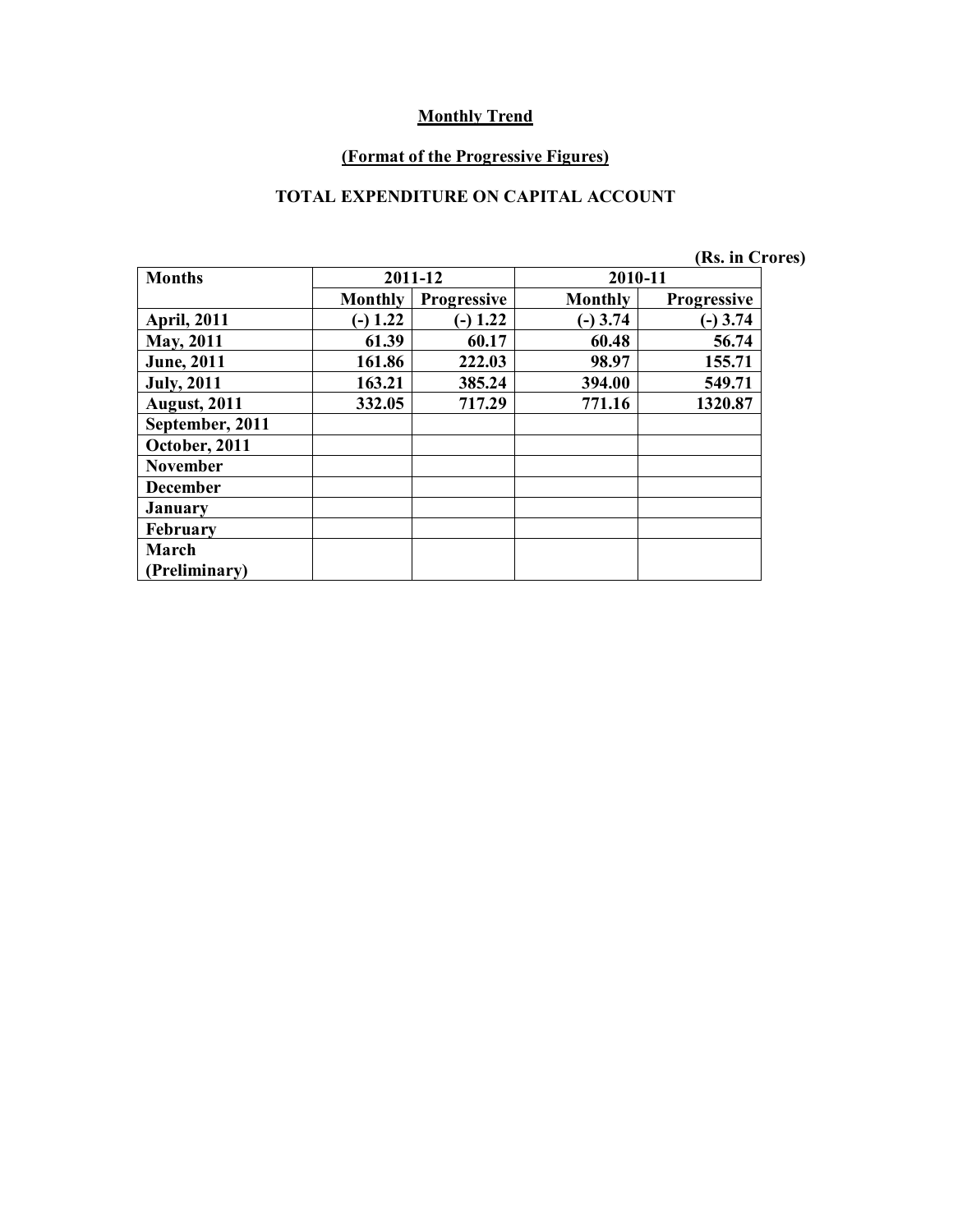#### **(Format of the Progressive Figures)**

#### **TOTAL EXPENDITURE ON CAPITAL ACCOUNT**

|                     |                |                    |                | (Rs. in Crores)    |
|---------------------|----------------|--------------------|----------------|--------------------|
| <b>Months</b>       |                | 2011-12            | 2010-11        |                    |
|                     | <b>Monthly</b> | <b>Progressive</b> | <b>Monthly</b> | <b>Progressive</b> |
| <b>April, 2011</b>  | $(-) 1.22$     | $-$ ) 1.22         | $(-)$ 3.74     | $(-)$ 3.74         |
| <b>May, 2011</b>    | 61.39          | 60.17              | 60.48          | 56.74              |
| <b>June</b> , 2011  | 161.86         | 222.03             | 98.97          | 155.71             |
| <b>July, 2011</b>   | 163.21         | 385.24             | 394.00         | 549.71             |
| <b>August, 2011</b> | 332.05         | 717.29             | 771.16         | 1320.87            |
| September, 2011     |                |                    |                |                    |
| October, 2011       |                |                    |                |                    |
| <b>November</b>     |                |                    |                |                    |
| <b>December</b>     |                |                    |                |                    |
| <b>January</b>      |                |                    |                |                    |
| <b>February</b>     |                |                    |                |                    |
| March               |                |                    |                |                    |
| (Preliminary)       |                |                    |                |                    |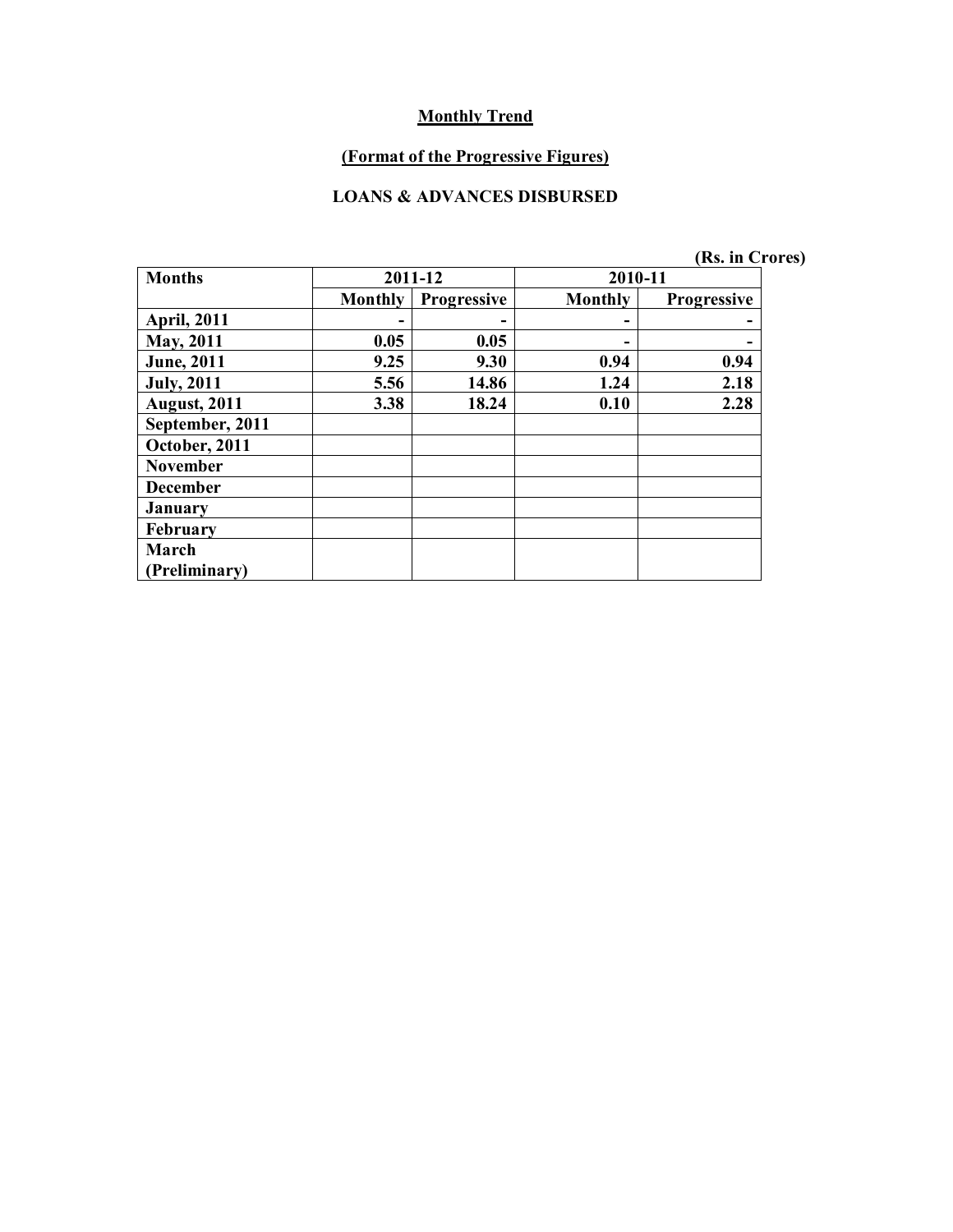# **(Format of the Progressive Figures)**

#### **LOANS & ADVANCES DISBURSED**

| <b>Months</b>        |                | 2011-12            | 2010-11        |                    |
|----------------------|----------------|--------------------|----------------|--------------------|
|                      | <b>Monthly</b> | <b>Progressive</b> | <b>Monthly</b> | <b>Progressive</b> |
| <b>April, 2011</b>   |                |                    |                |                    |
| <b>May, 2011</b>     | 0.05           | 0.05               |                |                    |
| <b>June</b> , 2011   | 9.25           | 9.30               | 0.94           | 0.94               |
| <b>July, 2011</b>    | 5.56           | 14.86              | 1.24           | 2.18               |
| <b>August, 2011</b>  | 3.38           | 18.24              | 0.10           | 2.28               |
| September, 2011      |                |                    |                |                    |
| October, 2011        |                |                    |                |                    |
| <b>November</b>      |                |                    |                |                    |
| <b>December</b>      |                |                    |                |                    |
| <b>January</b>       |                |                    |                |                    |
| February             |                |                    |                |                    |
| March                |                |                    |                |                    |
| <b>Preliminary</b> ) |                |                    |                |                    |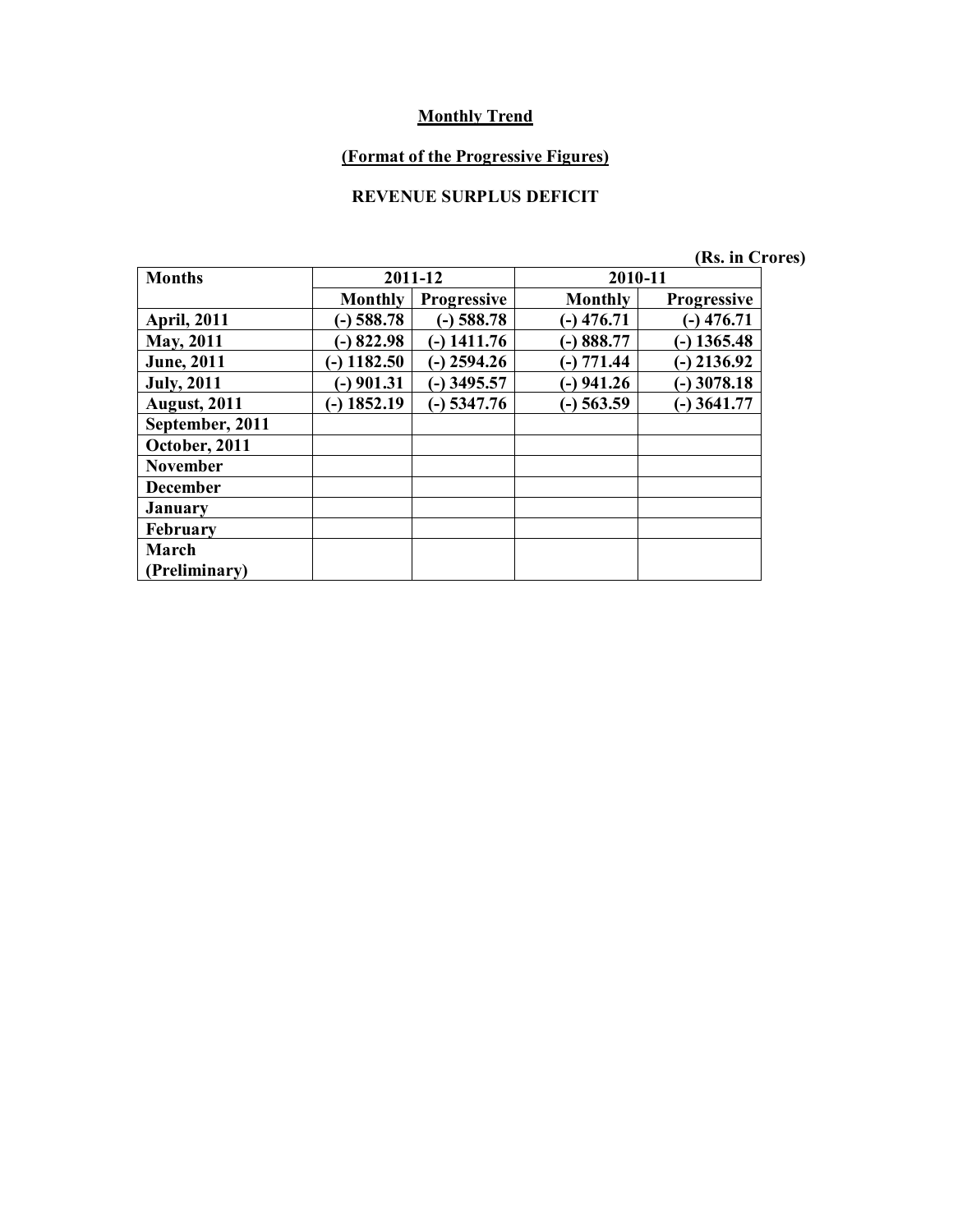# **(Format of the Progressive Figures)**

# **REVENUE SURPLUS DEFICIT**

| (Rs. in Crores) |  |  |  |  |  |  |  |  |  |  |  |  |  |  |  |  |  |  |  |  |  |  |  |  |  |  |  |  |  |  |  |  |  |  |  |  |  |  |  |  |  |  |  |  |  |  |  |  |  |  |  |  |  |  |  |  |  |  |  |  |  |  |  |  |  |  |  |  |  |  |  |  |  |  |  |  |  |  |  |  |  |  |  |  |  |  |  |  |  |  |  |  |  |  |  |  |  |  |  |  |  |  |  |  |  |  |  |  |  |  |  |  |  |  |  |  |  |  |  |  |  |  |  |  |  |  |  |  |  |  |  |  |  |  |  |  |  |  |  |  |  |  |  |  |  |  |
|-----------------|--|--|--|--|--|--|--|--|--|--|--|--|--|--|--|--|--|--|--|--|--|--|--|--|--|--|--|--|--|--|--|--|--|--|--|--|--|--|--|--|--|--|--|--|--|--|--|--|--|--|--|--|--|--|--|--|--|--|--|--|--|--|--|--|--|--|--|--|--|--|--|--|--|--|--|--|--|--|--|--|--|--|--|--|--|--|--|--|--|--|--|--|--|--|--|--|--|--|--|--|--|--|--|--|--|--|--|--|--|--|--|--|--|--|--|--|--|--|--|--|--|--|--|--|--|--|--|--|--|--|--|--|--|--|--|--|--|--|--|--|--|--|--|--|--|--|
|-----------------|--|--|--|--|--|--|--|--|--|--|--|--|--|--|--|--|--|--|--|--|--|--|--|--|--|--|--|--|--|--|--|--|--|--|--|--|--|--|--|--|--|--|--|--|--|--|--|--|--|--|--|--|--|--|--|--|--|--|--|--|--|--|--|--|--|--|--|--|--|--|--|--|--|--|--|--|--|--|--|--|--|--|--|--|--|--|--|--|--|--|--|--|--|--|--|--|--|--|--|--|--|--|--|--|--|--|--|--|--|--|--|--|--|--|--|--|--|--|--|--|--|--|--|--|--|--|--|--|--|--|--|--|--|--|--|--|--|--|--|--|--|--|--|--|--|--|

| <b>Months</b>       |                 | 2011-12            | 2010-11        |                    |
|---------------------|-----------------|--------------------|----------------|--------------------|
|                     | <b>Monthly</b>  | <b>Progressive</b> | <b>Monthly</b> | <b>Progressive</b> |
| <b>April, 2011</b>  | $(-)$ 588.78    | $(-)$ 588.78       | $(-)$ 476.71   | $-$ ) 476.71       |
| <b>May, 2011</b>    | $-$ 822.98      | $-$ ) 1411.76      | $-)888.77$     | $-$ ) 1365.48      |
| <b>June</b> , 2011  | 1182.50<br>$-1$ | $(-)$ 2594.26      | $(-) 771.44$   | $-$ ) 2136.92      |
| <b>July, 2011</b>   | $-$ ) 901.31    | $-$ ) 3495.57      | $(-)$ 941.26   | $-$ ) 3078.18      |
| <b>August, 2011</b> | $-$ ) 1852.19   | $-$ 5347.76        | $(-)$ 563.59   | $-$ 3641.77        |
| September, 2011     |                 |                    |                |                    |
| October, 2011       |                 |                    |                |                    |
| <b>November</b>     |                 |                    |                |                    |
| <b>December</b>     |                 |                    |                |                    |
| <b>January</b>      |                 |                    |                |                    |
| February            |                 |                    |                |                    |
| March               |                 |                    |                |                    |
| Preliminary)        |                 |                    |                |                    |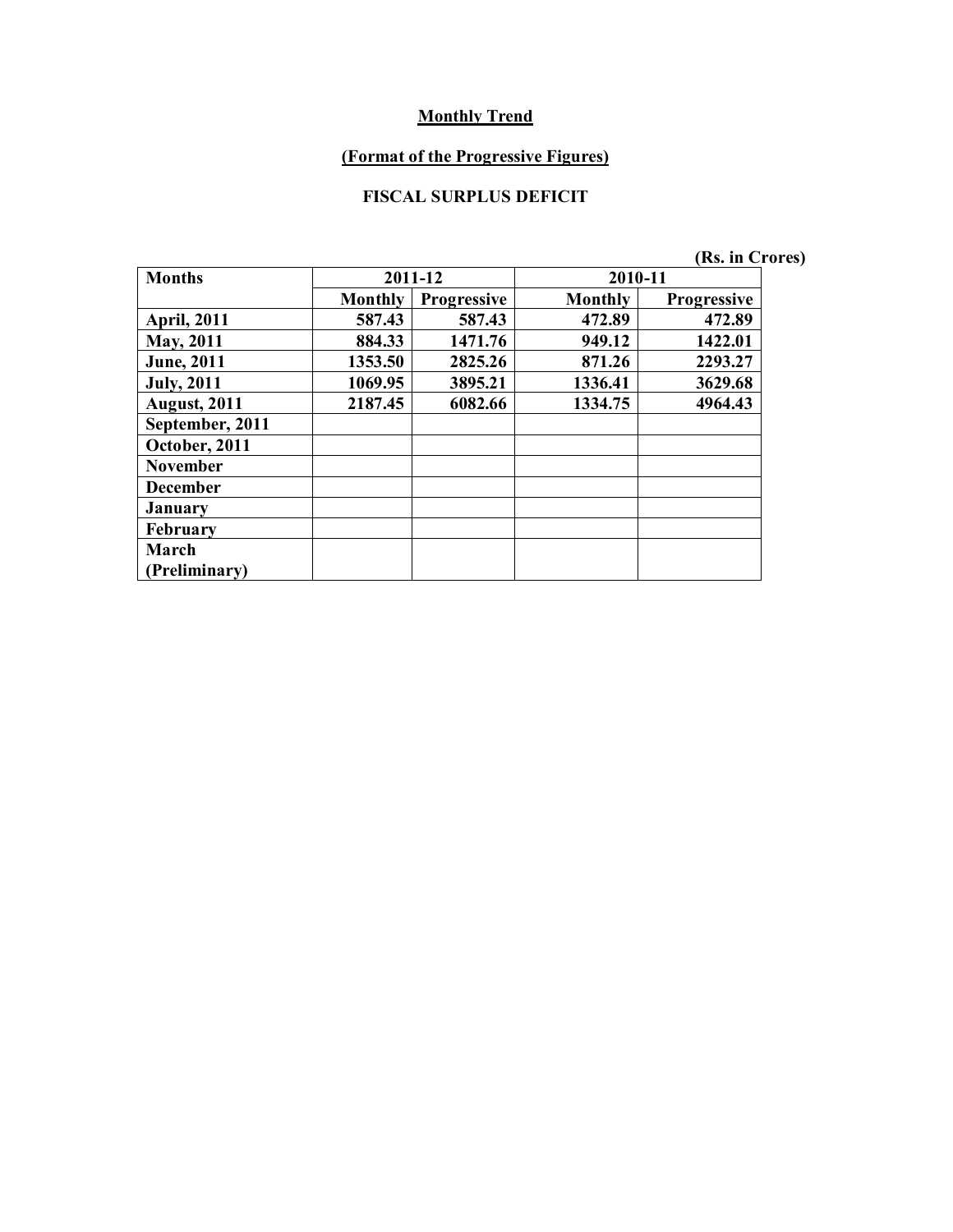# **(Format of the Progressive Figures)**

# **FISCAL SURPLUS DEFICIT**

|                     |                |                    |         | (Rs. in Crores)    |
|---------------------|----------------|--------------------|---------|--------------------|
| <b>Months</b>       |                | 2011-12            | 2010-11 |                    |
|                     | <b>Monthly</b> | <b>Progressive</b> | Monthly | <b>Progressive</b> |
| <b>April, 2011</b>  | 587.43         | 587.43             | 472.89  | 472.89             |
| May, 2011           | 884.33         | 1471.76            | 949.12  | 1422.01            |
| <b>June</b> , 2011  | 1353.50        | 2825.26            | 871.26  | 2293.27            |
| <b>July, 2011</b>   | 1069.95        | 3895.21            | 1336.41 | 3629.68            |
| <b>August, 2011</b> | 2187.45        | 6082.66            | 1334.75 | 4964.43            |
| September, 2011     |                |                    |         |                    |
| October, 2011       |                |                    |         |                    |
| <b>November</b>     |                |                    |         |                    |
| <b>December</b>     |                |                    |         |                    |
| January             |                |                    |         |                    |
| <b>February</b>     |                |                    |         |                    |
| March               |                |                    |         |                    |
| (Preliminary)       |                |                    |         |                    |